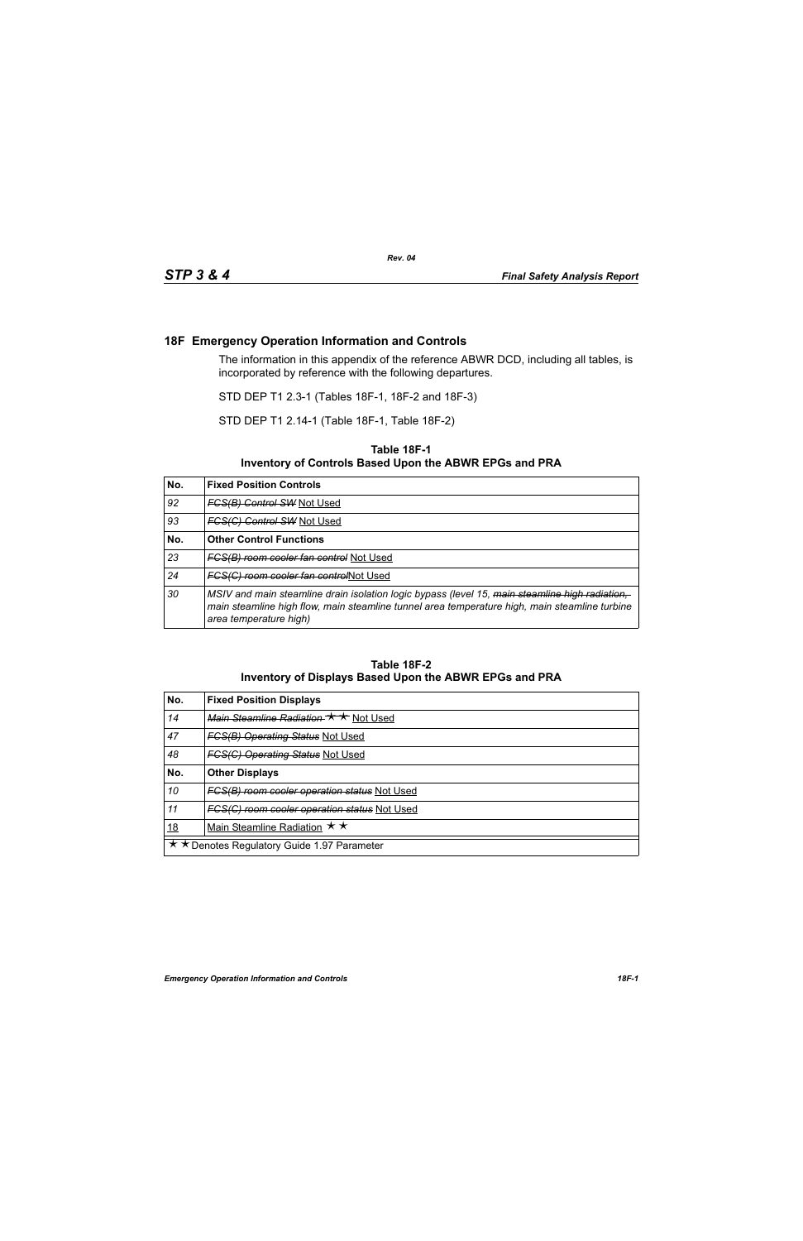## **18F Emergency Operation Information and Controls**

The information in this appendix of the reference ABWR DCD, including all tables, is incorporated by reference with the following departures.

STD DEP T1 2.3-1 (Tables 18F-1, 18F-2 and 18F-3)

STD DEP T1 2.14-1 (Table 18F-1, Table 18F-2)

## **Table 18F-1 Inventory of Controls Based Upon the ABWR EPGs and PRA**

| No. | <b>Fixed Position Controls</b>                                                                                                                                                                                            |
|-----|---------------------------------------------------------------------------------------------------------------------------------------------------------------------------------------------------------------------------|
| 92  | <b>FCS(B) Control SW Not Used</b>                                                                                                                                                                                         |
| 93  | <b>FCS(C) Control SW Not Used</b>                                                                                                                                                                                         |
| No. | <b>Other Control Functions</b>                                                                                                                                                                                            |
| 23  | <b>FCS(B) room cooler fan control Not Used</b>                                                                                                                                                                            |
| 24  | FCS(C) room cooler fan controlNot Used                                                                                                                                                                                    |
| 30  | MSIV and main steamline drain isolation logic bypass (level 15, main steamline high radiation,<br>main steamline high flow, main steamline tunnel area temperature high, main steamline turbine<br>area temperature high) |

## **Table 18F-2 Inventory of Displays Based Upon the ABWR EPGs and PRA**

| No.                                         | <b>Fixed Position Displays</b>                      |  |
|---------------------------------------------|-----------------------------------------------------|--|
| 14                                          | Main Steamline Radiation $\star \star$ Not Used     |  |
| 47                                          | <b>FGS(B) Operating Status Not Used</b>             |  |
| 48                                          | <b>FGS(G) Operating Status Not Used</b>             |  |
| No.                                         | <b>Other Displays</b>                               |  |
| 10                                          | <b>FCS(B) room cooler operation status Not Used</b> |  |
| 11                                          | FCS(C) room cooler operation status Not Used        |  |
| <u>18</u>                                   | Main Steamline Radiation $\star \star$              |  |
| ★ ★ Denotes Regulatory Guide 1.97 Parameter |                                                     |  |